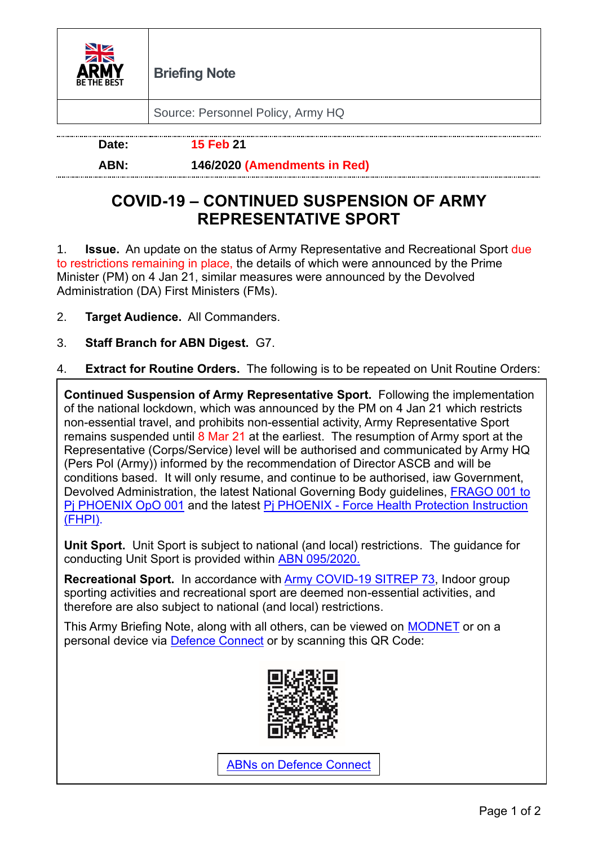

Source: Personnel Policy, Army HQ

**Date: 15 Feb 21**

## **ABN: 146/2020 (Amendments in Red)**

## **COVID-19 – CONTINUED SUSPENSION OF ARMY REPRESENTATIVE SPORT**

1. **Issue.** An update on the status of Army Representative and Recreational Sport due to restrictions remaining in place, the details of which were announced by the Prime Minister (PM) on 4 Jan 21, similar measures were announced by the Devolved Administration (DA) First Ministers (FMs).

- 2. **Target Audience.** All Commanders.
- 3. **Staff Branch for ABN Digest.** G7.
- 4. **Extract for Routine Orders.** The following is to be repeated on Unit Routine Orders:

**Continued Suspension of Army Representative Sport.** Following the implementation of the national lockdown, which was announced by the PM on 4 Jan 21 which restricts non-essential travel, and prohibits non-essential activity, Army Representative Sport remains suspended until 8 Mar 21 at the earliest.The resumption of Army sport at the Representative (Corps/Service) level will be authorised and communicated by Army HQ (Pers Pol (Army)) informed by the recommendation of Director ASCB and will be conditions based. It will only resume, and continue to be authorised, iaw Government, Devolved Administration, the latest National Governing Body guidelines, [FRAGO 001 to](https://modgovuk.sharepoint.com/teams/22008/ProjPhoenix)  [Pj PHOENIX OpO 001](https://modgovuk.sharepoint.com/teams/22008/ProjPhoenix) and the latest Pj PHOENIX - [Force Health Protection Instruction](https://modgovuk.sharepoint.com/teams/22008/COVID19/ResilProds/ForcePro/Forms/WiP.aspx)  [\(FHPI\).](https://modgovuk.sharepoint.com/teams/22008/COVID19/ResilProds/ForcePro/Forms/WiP.aspx)

**Unit Sport.** Unit Sport is subject to national (and local) restrictions.The guidance for conducting Unit Sport is provided within [ABN 095/2020.](https://modgovuk.sharepoint.com/teams/14922/ABN/SitePages/Home.aspx)

**Recreational Sport.** In accordance with [Army COVID-19 SITREP 73,](https://modgovuk.sharepoint.com/teams/22008/COVID19/ResilProds/DailySITREPs/Forms/AllItems.aspx) Indoor group sporting activities and recreational sport are deemed non-essential activities, and therefore are also subject to national (and local) restrictions.

This Army Briefing Note, along with all others, can be viewed on **MODNET** or on a personal device via **Defence Connect** or by scanning this QR Code:



[ABNs on Defence Connect](https://jive.defencegateway.mod.uk/docs/DOC-160366)